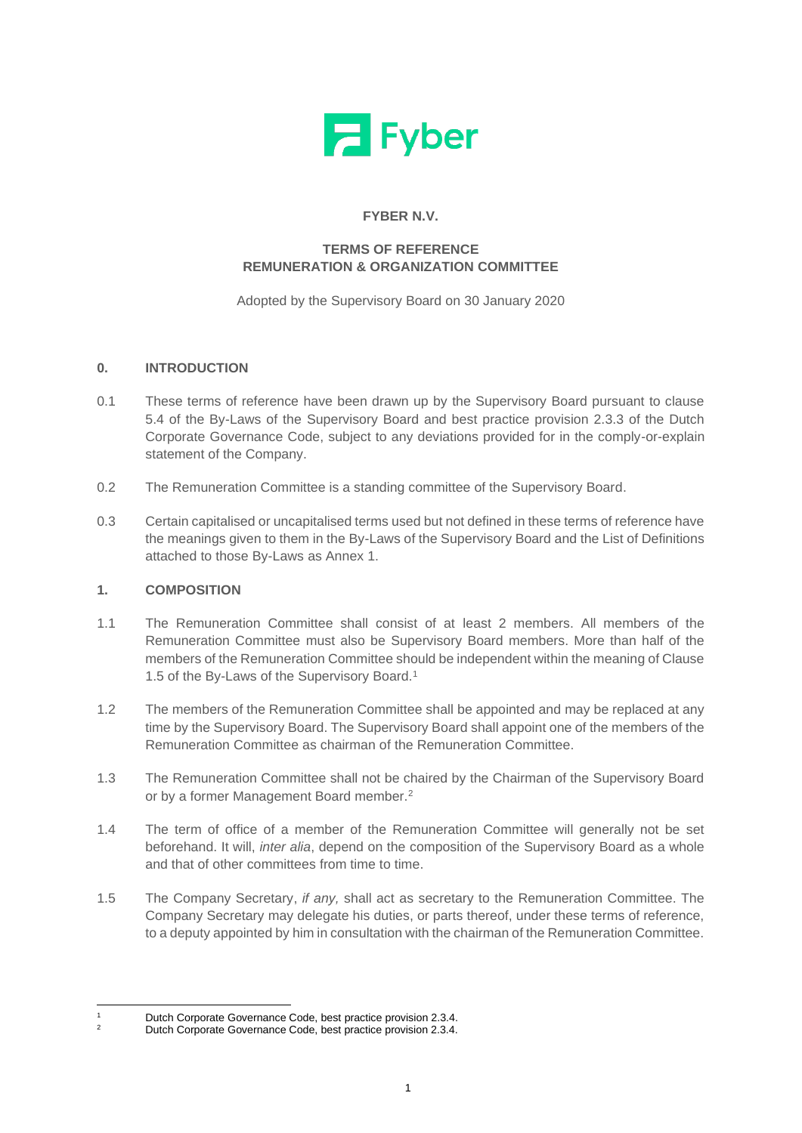

# **FYBER N.V.**

## **TERMS OF REFERENCE REMUNERATION & ORGANIZATION COMMITTEE**

Adopted by the Supervisory Board on 30 January 2020

## **0. INTRODUCTION**

- 0.1 These terms of reference have been drawn up by the Supervisory Board pursuant to clause 5.4 of the By-Laws of the Supervisory Board and best practice provision 2.3.3 of the Dutch Corporate Governance Code, subject to any deviations provided for in the comply-or-explain statement of the Company.
- 0.2 The Remuneration Committee is a standing committee of the Supervisory Board.
- 0.3 Certain capitalised or uncapitalised terms used but not defined in these terms of reference have the meanings given to them in the By-Laws of the Supervisory Board and the List of Definitions attached to those By-Laws as Annex 1.

### **1. COMPOSITION**

- 1.1 The Remuneration Committee shall consist of at least 2 members. All members of the Remuneration Committee must also be Supervisory Board members. More than half of the members of the Remuneration Committee should be independent within the meaning of Clause 1.5 of the By-Laws of the Supervisory Board.<sup>1</sup>
- 1.2 The members of the Remuneration Committee shall be appointed and may be replaced at any time by the Supervisory Board. The Supervisory Board shall appoint one of the members of the Remuneration Committee as chairman of the Remuneration Committee.
- 1.3 The Remuneration Committee shall not be chaired by the Chairman of the Supervisory Board or by a former Management Board member.<sup>2</sup>
- 1.4 The term of office of a member of the Remuneration Committee will generally not be set beforehand. It will, *inter alia*, depend on the composition of the Supervisory Board as a whole and that of other committees from time to time.
- 1.5 The Company Secretary, *if any,* shall act as secretary to the Remuneration Committee. The Company Secretary may delegate his duties, or parts thereof, under these terms of reference, to a deputy appointed by him in consultation with the chairman of the Remuneration Committee.

<sup>1</sup> Dutch Corporate Governance Code, best practice provision 2.3.4.

<sup>2</sup> Dutch Corporate Governance Code, best practice provision 2.3.4.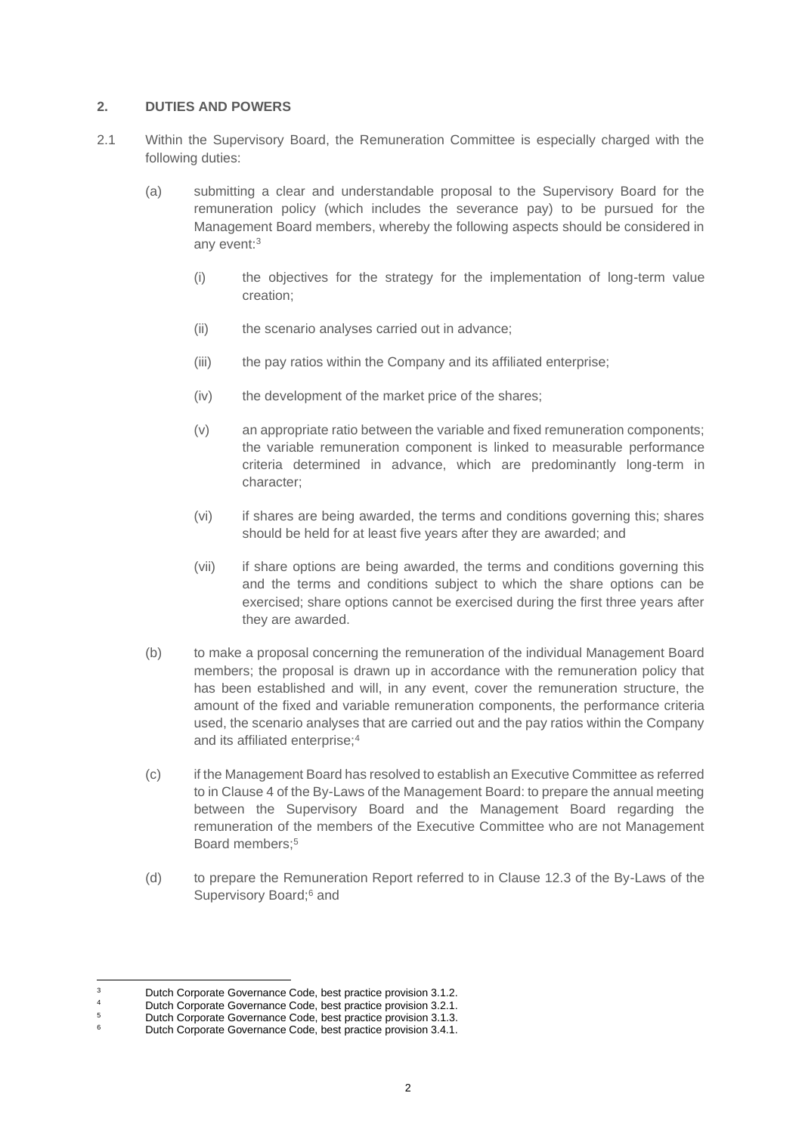#### **2. DUTIES AND POWERS**

- <span id="page-1-0"></span>2.1 Within the Supervisory Board, the Remuneration Committee is especially charged with the following duties:
	- (a) submitting a clear and understandable proposal to the Supervisory Board for the remuneration policy (which includes the severance pay) to be pursued for the Management Board members, whereby the following aspects should be considered in any event:<sup>3</sup>
		- (i) the objectives for the strategy for the implementation of long-term value creation;
		- (ii) the scenario analyses carried out in advance;
		- (iii) the pay ratios within the Company and its affiliated enterprise;
		- (iv) the development of the market price of the shares;
		- (v) an appropriate ratio between the variable and fixed remuneration components; the variable remuneration component is linked to measurable performance criteria determined in advance, which are predominantly long-term in character;
		- (vi) if shares are being awarded, the terms and conditions governing this; shares should be held for at least five years after they are awarded; and
		- (vii) if share options are being awarded, the terms and conditions governing this and the terms and conditions subject to which the share options can be exercised; share options cannot be exercised during the first three years after they are awarded.
	- (b) to make a proposal concerning the remuneration of the individual Management Board members; the proposal is drawn up in accordance with the remuneration policy that has been established and will, in any event, cover the remuneration structure, the amount of the fixed and variable remuneration components, the performance criteria used, the scenario analyses that are carried out and the pay ratios within the Company and its affiliated enterprise;<sup>4</sup>
	- (c) if the Management Board has resolved to establish an Executive Committee as referred to in Clause 4 of the By-Laws of the Management Board: to prepare the annual meeting between the Supervisory Board and the Management Board regarding the remuneration of the members of the Executive Committee who are not Management Board members $\cdot$ <sup>5</sup>
	- (d) to prepare the Remuneration Report referred to in Clause 12.3 of the By-Laws of the Supervisory Board:<sup>6</sup> and

<sup>3</sup> Dutch Corporate Governance Code, best practice provision 3.1.2.

<sup>4</sup> Dutch Corporate Governance Code, best practice provision 3.2.1.<br>5 Dutch Corporate Governance Code, best practice provision 3.1.3

 $5$  Dutch Corporate Governance Code, best practice provision 3.1.3.<br> $6$  Dutch Corporate Covernance Code, best provision 3.4.1.

Dutch Corporate Governance Code, best practice provision 3.4.1.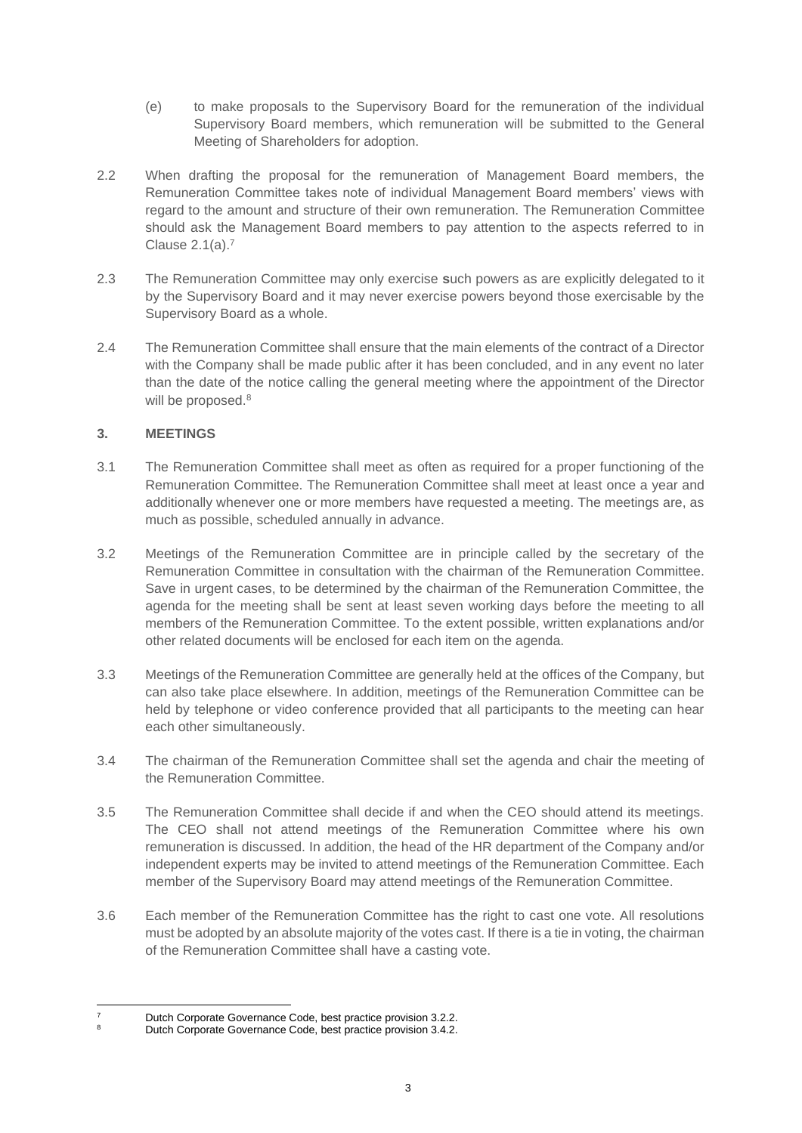- (e) to make proposals to the Supervisory Board for the remuneration of the individual Supervisory Board members, which remuneration will be submitted to the General Meeting of Shareholders for adoption.
- 2.2 When drafting the proposal for the remuneration of Management Board members, the Remuneration Committee takes note of individual Management Board members' views with regard to the amount and structure of their own remuneration. The Remuneration Committee should ask the Management Board members to pay attention to the aspects referred to in Clause [2.1\(a\).](#page-1-0) 7
- 2.3 The Remuneration Committee may only exercise **s**uch powers as are explicitly delegated to it by the Supervisory Board and it may never exercise powers beyond those exercisable by the Supervisory Board as a whole.
- 2.4 The Remuneration Committee shall ensure that the main elements of the contract of a Director with the Company shall be made public after it has been concluded, and in any event no later than the date of the notice calling the general meeting where the appointment of the Director will be proposed.<sup>8</sup>

## **3. MEETINGS**

- 3.1 The Remuneration Committee shall meet as often as required for a proper functioning of the Remuneration Committee. The Remuneration Committee shall meet at least once a year and additionally whenever one or more members have requested a meeting. The meetings are, as much as possible, scheduled annually in advance.
- 3.2 Meetings of the Remuneration Committee are in principle called by the secretary of the Remuneration Committee in consultation with the chairman of the Remuneration Committee. Save in urgent cases, to be determined by the chairman of the Remuneration Committee, the agenda for the meeting shall be sent at least seven working days before the meeting to all members of the Remuneration Committee. To the extent possible, written explanations and/or other related documents will be enclosed for each item on the agenda.
- 3.3 Meetings of the Remuneration Committee are generally held at the offices of the Company, but can also take place elsewhere. In addition, meetings of the Remuneration Committee can be held by telephone or video conference provided that all participants to the meeting can hear each other simultaneously.
- 3.4 The chairman of the Remuneration Committee shall set the agenda and chair the meeting of the Remuneration Committee.
- 3.5 The Remuneration Committee shall decide if and when the CEO should attend its meetings. The CEO shall not attend meetings of the Remuneration Committee where his own remuneration is discussed. In addition, the head of the HR department of the Company and/or independent experts may be invited to attend meetings of the Remuneration Committee. Each member of the Supervisory Board may attend meetings of the Remuneration Committee.
- 3.6 Each member of the Remuneration Committee has the right to cast one vote. All resolutions must be adopted by an absolute majority of the votes cast. If there is a tie in voting, the chairman of the Remuneration Committee shall have a casting vote.

<sup>7</sup> Dutch Corporate Governance Code, best practice provision 3.2.2.

Dutch Corporate Governance Code, best practice provision 3.4.2.